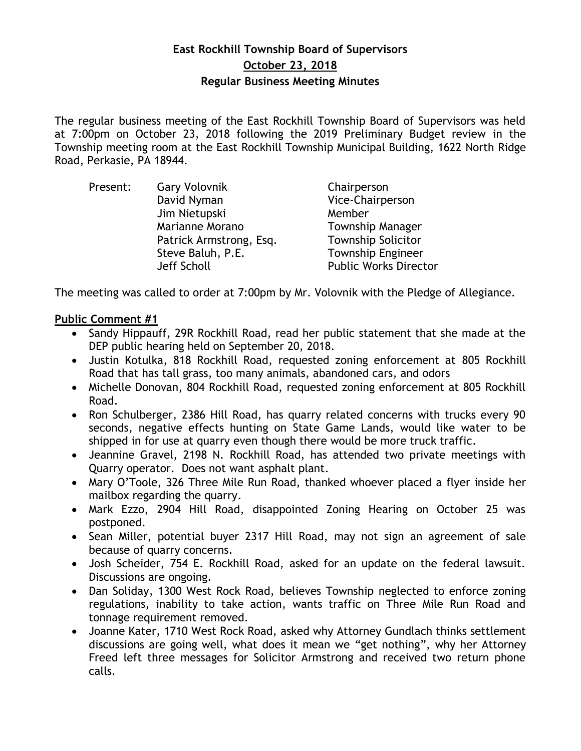# **East Rockhill Township Board of Supervisors October 23, 2018 Regular Business Meeting Minutes**

The regular business meeting of the East Rockhill Township Board of Supervisors was held at 7:00pm on October 23, 2018 following the 2019 Preliminary Budget review in the Township meeting room at the East Rockhill Township Municipal Building, 1622 North Ridge Road, Perkasie, PA 18944.

| Present: | <b>Gary Volovnik</b>    | Chairperson                  |
|----------|-------------------------|------------------------------|
|          | David Nyman             | Vice-Chairperson             |
|          | Jim Nietupski           | Member                       |
|          | Marianne Morano         | <b>Township Manager</b>      |
|          | Patrick Armstrong, Esq. | <b>Township Solicitor</b>    |
|          | Steve Baluh, P.E.       | <b>Township Engineer</b>     |
|          | Jeff Scholl             | <b>Public Works Director</b> |

The meeting was called to order at 7:00pm by Mr. Volovnik with the Pledge of Allegiance.

# **Public Comment #1**

- Sandy Hippauff, 29R Rockhill Road, read her public statement that she made at the DEP public hearing held on September 20, 2018.
- Justin Kotulka, 818 Rockhill Road, requested zoning enforcement at 805 Rockhill Road that has tall grass, too many animals, abandoned cars, and odors
- Michelle Donovan, 804 Rockhill Road, requested zoning enforcement at 805 Rockhill Road.
- Ron Schulberger, 2386 Hill Road, has quarry related concerns with trucks every 90 seconds, negative effects hunting on State Game Lands, would like water to be shipped in for use at quarry even though there would be more truck traffic.
- Jeannine Gravel, 2198 N. Rockhill Road, has attended two private meetings with Quarry operator. Does not want asphalt plant.
- Mary O'Toole, 326 Three Mile Run Road, thanked whoever placed a flyer inside her mailbox regarding the quarry.
- Mark Ezzo, 2904 Hill Road, disappointed Zoning Hearing on October 25 was postponed.
- Sean Miller, potential buyer 2317 Hill Road, may not sign an agreement of sale because of quarry concerns.
- Josh Scheider, 754 E. Rockhill Road, asked for an update on the federal lawsuit. Discussions are ongoing.
- Dan Soliday, 1300 West Rock Road, believes Township neglected to enforce zoning regulations, inability to take action, wants traffic on Three Mile Run Road and tonnage requirement removed.
- Joanne Kater, 1710 West Rock Road, asked why Attorney Gundlach thinks settlement discussions are going well, what does it mean we "get nothing", why her Attorney Freed left three messages for Solicitor Armstrong and received two return phone calls.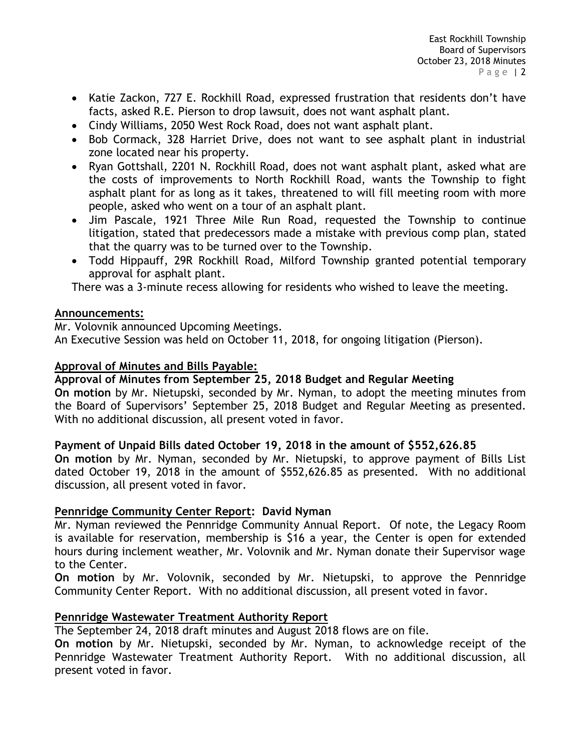- Katie Zackon, 727 E. Rockhill Road, expressed frustration that residents don't have facts, asked R.E. Pierson to drop lawsuit, does not want asphalt plant.
- Cindy Williams, 2050 West Rock Road, does not want asphalt plant.
- Bob Cormack, 328 Harriet Drive, does not want to see asphalt plant in industrial zone located near his property.
- Ryan Gottshall, 2201 N. Rockhill Road, does not want asphalt plant, asked what are the costs of improvements to North Rockhill Road, wants the Township to fight asphalt plant for as long as it takes, threatened to will fill meeting room with more people, asked who went on a tour of an asphalt plant.
- Jim Pascale, 1921 Three Mile Run Road, requested the Township to continue litigation, stated that predecessors made a mistake with previous comp plan, stated that the quarry was to be turned over to the Township.
- Todd Hippauff, 29R Rockhill Road, Milford Township granted potential temporary approval for asphalt plant.

There was a 3-minute recess allowing for residents who wished to leave the meeting.

# **Announcements:**

Mr. Volovnik announced Upcoming Meetings.

An Executive Session was held on October 11, 2018, for ongoing litigation (Pierson).

# **Approval of Minutes and Bills Payable:**

# **Approval of Minutes from September 25, 2018 Budget and Regular Meeting**

**On motion** by Mr. Nietupski, seconded by Mr. Nyman, to adopt the meeting minutes from the Board of Supervisors' September 25, 2018 Budget and Regular Meeting as presented. With no additional discussion, all present voted in favor.

# **Payment of Unpaid Bills dated October 19, 2018 in the amount of \$552,626.85**

**On motion** by Mr. Nyman, seconded by Mr. Nietupski, to approve payment of Bills List dated October 19, 2018 in the amount of \$552,626.85 as presented. With no additional discussion, all present voted in favor.

# **Pennridge Community Center Report: David Nyman**

Mr. Nyman reviewed the Pennridge Community Annual Report. Of note, the Legacy Room is available for reservation, membership is \$16 a year, the Center is open for extended hours during inclement weather, Mr. Volovnik and Mr. Nyman donate their Supervisor wage to the Center.

**On motion** by Mr. Volovnik, seconded by Mr. Nietupski, to approve the Pennridge Community Center Report. With no additional discussion, all present voted in favor.

# **Pennridge Wastewater Treatment Authority Report**

The September 24, 2018 draft minutes and August 2018 flows are on file.

**On motion** by Mr. Nietupski, seconded by Mr. Nyman, to acknowledge receipt of the Pennridge Wastewater Treatment Authority Report. With no additional discussion, all present voted in favor.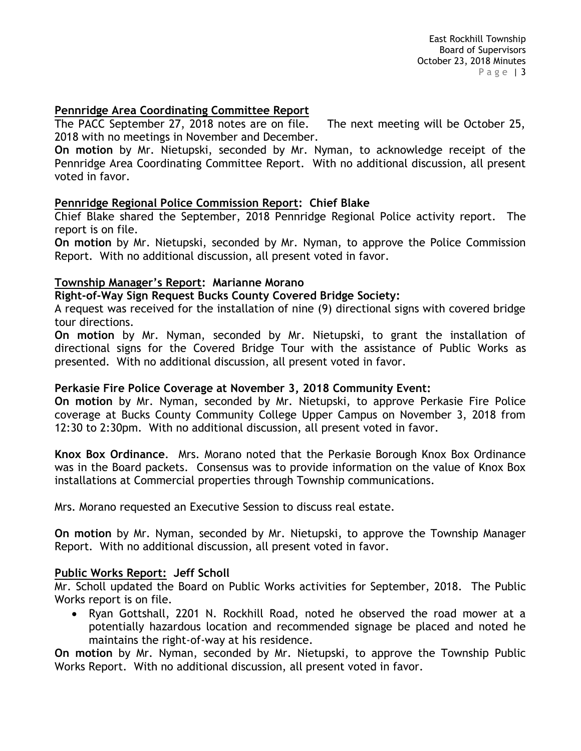#### **Pennridge Area Coordinating Committee Report**

The PACC September 27, 2018 notes are on file. The next meeting will be October 25, 2018 with no meetings in November and December.

**On motion** by Mr. Nietupski, seconded by Mr. Nyman, to acknowledge receipt of the Pennridge Area Coordinating Committee Report. With no additional discussion, all present voted in favor.

# **Pennridge Regional Police Commission Report: Chief Blake**

Chief Blake shared the September, 2018 Pennridge Regional Police activity report. The report is on file.

**On motion** by Mr. Nietupski, seconded by Mr. Nyman, to approve the Police Commission Report. With no additional discussion, all present voted in favor.

#### **Township Manager's Report: Marianne Morano**

**Right-of-Way Sign Request Bucks County Covered Bridge Society:** 

A request was received for the installation of nine (9) directional signs with covered bridge tour directions.

**On motion** by Mr. Nyman, seconded by Mr. Nietupski, to grant the installation of directional signs for the Covered Bridge Tour with the assistance of Public Works as presented. With no additional discussion, all present voted in favor.

# **Perkasie Fire Police Coverage at November 3, 2018 Community Event:**

**On motion** by Mr. Nyman, seconded by Mr. Nietupski, to approve Perkasie Fire Police coverage at Bucks County Community College Upper Campus on November 3, 2018 from 12:30 to 2:30pm. With no additional discussion, all present voted in favor.

**Knox Box Ordinance**. Mrs. Morano noted that the Perkasie Borough Knox Box Ordinance was in the Board packets. Consensus was to provide information on the value of Knox Box installations at Commercial properties through Township communications.

Mrs. Morano requested an Executive Session to discuss real estate.

**On motion** by Mr. Nyman, seconded by Mr. Nietupski, to approve the Township Manager Report. With no additional discussion, all present voted in favor.

# **Public Works Report: Jeff Scholl**

Mr. Scholl updated the Board on Public Works activities for September, 2018. The Public Works report is on file.

 Ryan Gottshall, 2201 N. Rockhill Road, noted he observed the road mower at a potentially hazardous location and recommended signage be placed and noted he maintains the right-of-way at his residence.

**On motion** by Mr. Nyman, seconded by Mr. Nietupski, to approve the Township Public Works Report. With no additional discussion, all present voted in favor.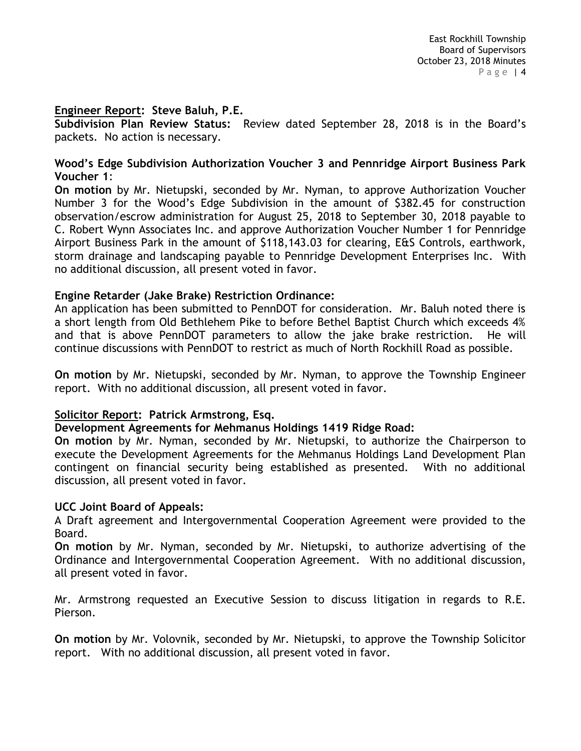#### **Engineer Report: Steve Baluh, P.E.**

**Subdivision Plan Review Status:** Review dated September 28, 2018 is in the Board's packets. No action is necessary.

#### **Wood's Edge Subdivision Authorization Voucher 3 and Pennridge Airport Business Park Voucher 1**:

**On motion** by Mr. Nietupski, seconded by Mr. Nyman, to approve Authorization Voucher Number 3 for the Wood's Edge Subdivision in the amount of \$382.45 for construction observation/escrow administration for August 25, 2018 to September 30, 2018 payable to C. Robert Wynn Associates Inc. and approve Authorization Voucher Number 1 for Pennridge Airport Business Park in the amount of \$118,143.03 for clearing, E&S Controls, earthwork, storm drainage and landscaping payable to Pennridge Development Enterprises Inc. With no additional discussion, all present voted in favor.

#### **Engine Retarder (Jake Brake) Restriction Ordinance:**

An application has been submitted to PennDOT for consideration. Mr. Baluh noted there is a short length from Old Bethlehem Pike to before Bethel Baptist Church which exceeds 4% and that is above PennDOT parameters to allow the jake brake restriction. He will continue discussions with PennDOT to restrict as much of North Rockhill Road as possible.

**On motion** by Mr. Nietupski, seconded by Mr. Nyman, to approve the Township Engineer report. With no additional discussion, all present voted in favor.

# **Solicitor Report: Patrick Armstrong, Esq.**

#### **Development Agreements for Mehmanus Holdings 1419 Ridge Road:**

**On motion** by Mr. Nyman, seconded by Mr. Nietupski, to authorize the Chairperson to execute the Development Agreements for the Mehmanus Holdings Land Development Plan contingent on financial security being established as presented. With no additional discussion, all present voted in favor.

#### **UCC Joint Board of Appeals:**

A Draft agreement and Intergovernmental Cooperation Agreement were provided to the Board.

**On motion** by Mr. Nyman, seconded by Mr. Nietupski, to authorize advertising of the Ordinance and Intergovernmental Cooperation Agreement. With no additional discussion, all present voted in favor.

Mr. Armstrong requested an Executive Session to discuss litigation in regards to R.E. Pierson.

**On motion** by Mr. Volovnik, seconded by Mr. Nietupski, to approve the Township Solicitor report. With no additional discussion, all present voted in favor.